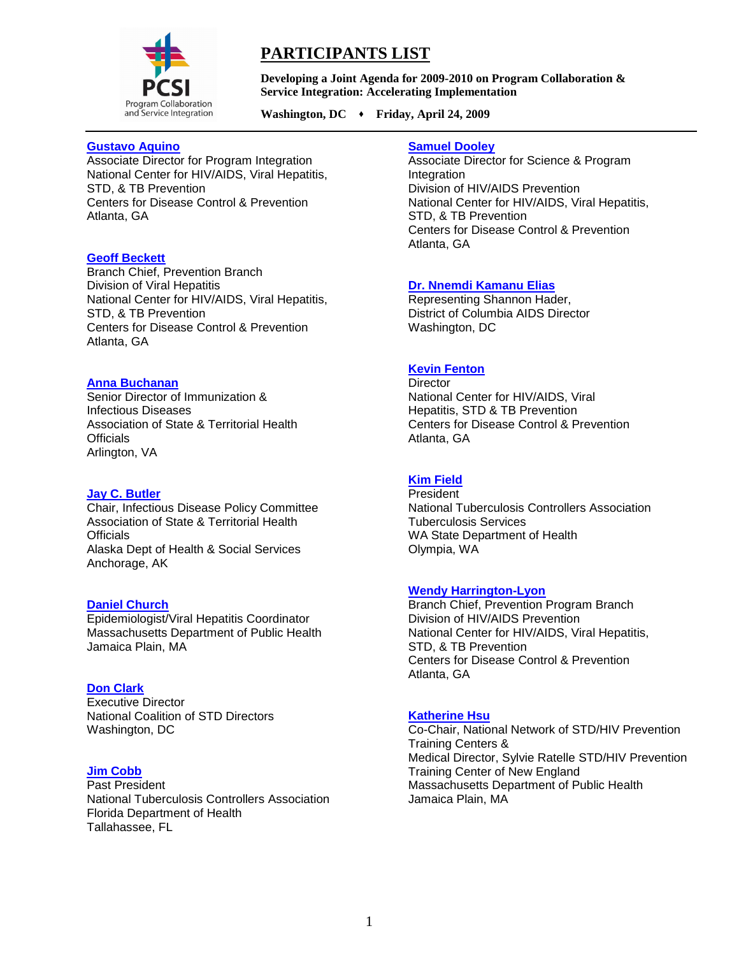

# **PARTICIPANTS LIST**

**Developing a Joint Agenda for 2009-2010 on Program Collaboration & Service Integration: Accelerating Implementation**

Washington, DC  $\rightarrow$  Friday, April 24, 2009

## **[Gustavo Aquino](mailto:gaquino@cdc.gov)**

Associate Director for Program Integration National Center for HIV/AIDS, Viral Hepatitis, STD, & TB Prevention Centers for Disease Control & Prevention Atlanta, GA

# **[Geoff Beckett](mailto:Gxb7@cdc.gov)**

Branch Chief, Prevention Branch Division of Viral Hepatitis National Center for HIV/AIDS, Viral Hepatitis, STD, & TB Prevention Centers for Disease Control & Prevention Atlanta, GA

## **[Anna Buchanan](mailto:adeblois@astho.org)**

Senior Director of Immunization & Infectious Diseases Association of State & Territorial Health **Officials** Arlington, VA

### **[Jay C. Butler](mailto:Jay.Butler@Alaska.Gov)**

Chair, Infectious Disease Policy Committee Association of State & Territorial Health **Officials** Alaska Dept of Health & Social Services Anchorage, AK

### **[Daniel Church](mailto:daniel.church@state.ma.us)**

Epidemiologist/Viral Hepatitis Coordinator Massachusetts Department of Public Health Jamaica Plain, MA

### **[Don Clark](mailto:dclark@ncsddc.org)**

Executive Director National Coalition of STD Directors Washington, DC

# **[Jim Cobb](mailto:Jim_Cobb@doh.state.fl.us)**

Past President National Tuberculosis Controllers Association Florida Department of Health Tallahassee, FL

## **[Samuel Dooley](mailto:Swd1@cdc.gov)**

Associate Director for Science & Program Integration Division of HIV/AIDS Prevention National Center for HIV/AIDS, Viral Hepatitis, STD, & TB Prevention Centers for Disease Control & Prevention Atlanta, GA

## **[Dr. Nnemdi Kamanu Elias](mailto:%20unknown)**

Representing Shannon Hader, District of Columbia AIDS Director Washington, DC

## **[Kevin Fenton](mailto:kfenton@cdc.gov)**

**Director** National Center for HIV/AIDS, Viral Hepatitis, STD & TB Prevention Centers for Disease Control & Prevention Atlanta, GA

# **[Kim Field](mailto:Kim.field@doh.wa.gov)**

**President** National Tuberculosis Controllers Association Tuberculosis Services WA State Department of Health Olympia, WA

# **[Wendy Harrington-Lyon](mailto:wlyon@cdc.gov)**

Branch Chief, Prevention Program Branch Division of HIV/AIDS Prevention National Center for HIV/AIDS, Viral Hepatitis, STD, & TB Prevention Centers for Disease Control & Prevention Atlanta, GA

## **[Katherine Hsu](mailto:Katherine.Hsu@state.ma.us)**

Co-Chair, National Network of STD/HIV Prevention Training Centers & Medical Director, Sylvie Ratelle STD/HIV Prevention Training Center of New England Massachusetts Department of Public Health Jamaica Plain, MA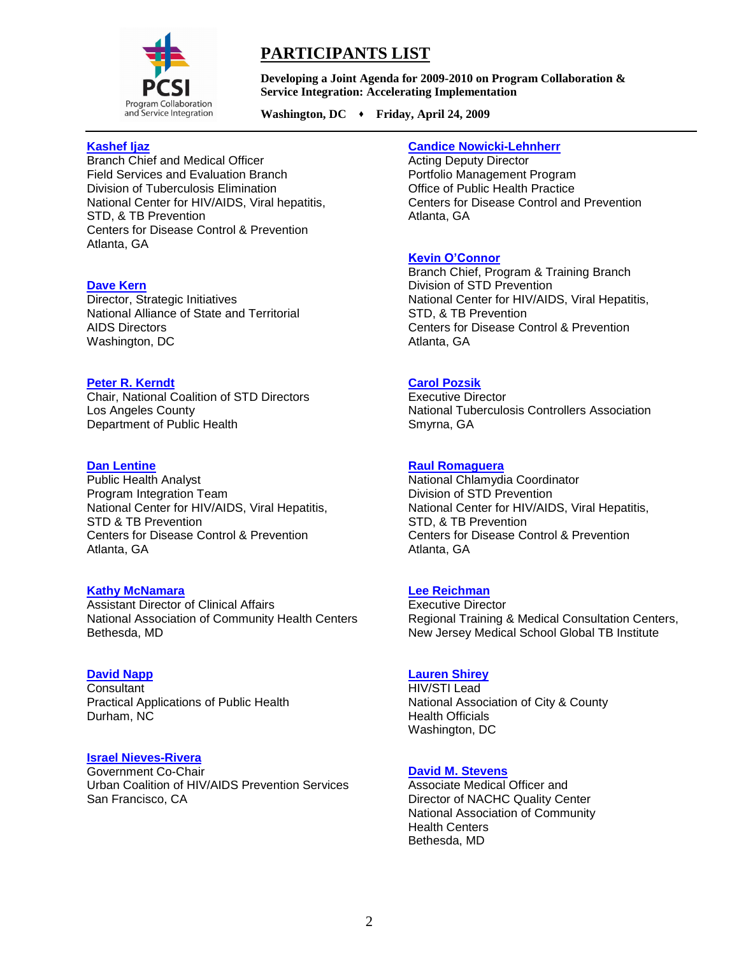

# **PARTICIPANTS LIST**

**Developing a Joint Agenda for 2009-2010 on Program Collaboration & Service Integration: Accelerating Implementation**

Washington, DC  $\rightarrow$  Friday, April 24, 2009

## **[Kashef Ijaz](mailto:KIJaz@cdc.gov)**

Branch Chief and Medical Officer Field Services and Evaluation Branch Division of Tuberculosis Elimination National Center for HIV/AIDS, Viral hepatitis, STD, & TB Prevention Centers for Disease Control & Prevention Atlanta, GA

### **[Dave Kern](mailto:dkern@NASTAD.org)**

Director, Strategic Initiatives National Alliance of State and Territorial AIDS Directors Washington, DC

### **[Peter R. Kerndt](mailto:pkerndt@ph.lacounty.gov)**

Chair, National Coalition of STD Directors Los Angeles County Department of Public Health

## **[Dan Lentine](mailto:Dhl2@cdc.gov)**

Public Health Analyst Program Integration Team National Center for HIV/AIDS, Viral Hepatitis, STD & TB Prevention Centers for Disease Control & Prevention Atlanta, GA

# **[Kathy McNamara](mailto:kmcnamara@nachc.com)**

Assistant Director of Clinical Affairs National Association of Community Health Centers Bethesda, MD

# **[David Napp](mailto:dnapp@aol.com)**

**Consultant** Practical Applications of Public Health Durham, NC

## **[Israel Nieves-Rivera](mailto:Israel.nieves@sfdph.org)**

Government Co-Chair Urban Coalition of HIV/AIDS Prevention Services San Francisco, CA

### **[Candice Nowicki-Lehnherr](mailto:cnowicki@cdc.gov)**

Acting Deputy Director Portfolio Management Program Office of Public Health Practice Centers for Disease Control and Prevention Atlanta, GA

## **[Kevin O'Connor](mailto:koconnor@cdc.gov)**

Branch Chief, Program & Training Branch Division of STD Prevention National Center for HIV/AIDS, Viral Hepatitis, STD, & TB Prevention Centers for Disease Control & Prevention Atlanta, GA

# **[Carol Pozsik](mailto:cpozsik@tbcontrollers.org)**

Executive Director National Tuberculosis Controllers Association Smyrna, GA

## **[Raul Romaguera](mailto:rromaguera@cdc.gov)**

National Chlamydia Coordinator Division of STD Prevention National Center for HIV/AIDS, Viral Hepatitis, STD, & TB Prevention Centers for Disease Control & Prevention Atlanta, GA

# **[Lee Reichman](mailto:reichmlb@umdnj.edu)**

Executive Director Regional Training & Medical Consultation Centers, New Jersey Medical School Global TB Institute

### **[Lauren Shirey](mailto:lshirey@naccho.org)**

HIV/STI Lead National Association of City & County Health Officials Washington, DC

### **[David M. Stevens](mailto:dstevens@nachc.com)**

Associate Medical Officer and Director of NACHC Quality Center National Association of Community Health Centers Bethesda, MD